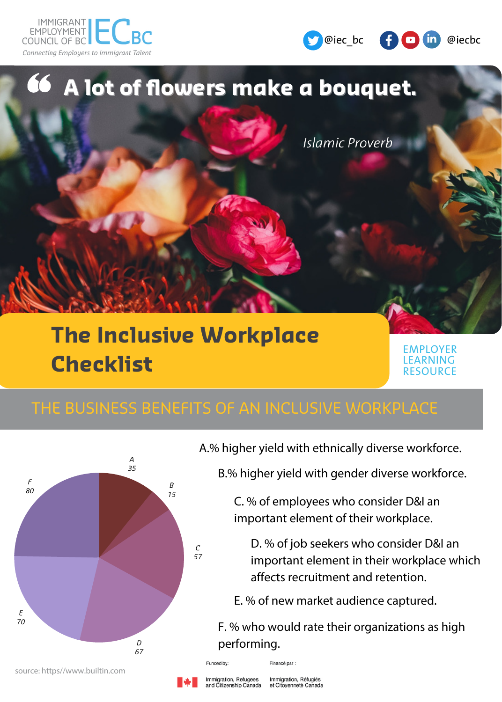





# **The Inclusive Workplace Checklist**

*C 57*

EMPLOYER LEARNING **RESOURCE** 



A.% higher yield with ethnically diverse workforce.

B.% higher yield with gender diverse workforce.

C. % of employees who consider D&I an important element of their workplace.

D. % of job seekers who consider D&I an important element in their workplace which affects recruitment and retention.

E. % of new market audience captured.

F. % who would rate their organizations as high performing.

source: https//www.builtin.com

Immigration, Refugees ind Citizenship Canada

Financé par : Immigration, Réfugiés et Citoyenneté Canada